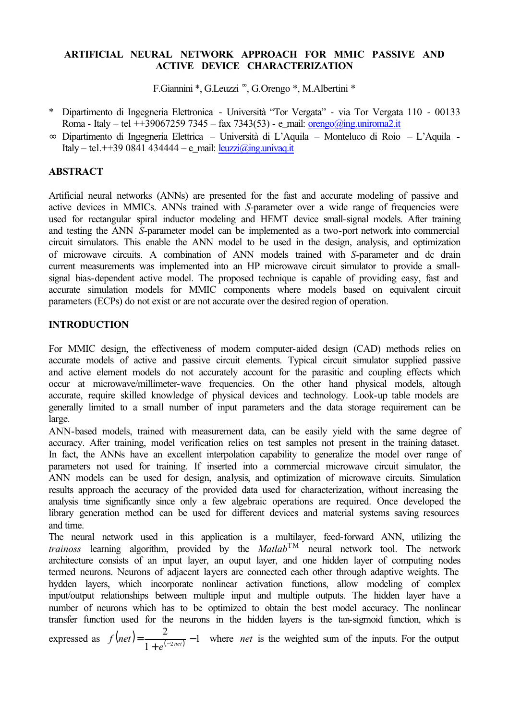### **ARTIFICIAL NEURAL NETWORK APPROACH FOR MMIC PASSIVE AND ACTIVE DEVICE CHARACTERIZATION**

F.Giannini \*, G.Leuzzi <sup>∞</sup>, G.Orengo \*, M.Albertini \*

- \* Dipartimento di Ingegneria Elettronica Università "Tor Vergata" via Tor Vergata 110 00133 Roma - Italy – tel ++39067259 7345 – fax 7343(53) - e\_mail: [orengo@ing.uniroma2.it](mailto:orengo@ing.uniroma2.it)
- ∞ Dipartimento di Ingegneria Elettrica Università di L'Aquila Monteluco di Roio L'Aquila Italy – tel. + + 39 0841 434444 – e\_mail: [leuzzi@ing.univaq.it](mailto:leuzzi@ing.univaq.it)

## **ABSTRACT**

Artificial neural networks (ANNs) are presented for the fast and accurate modeling of passive and active devices in MMICs. ANNs trained with *S-*parameter over a wide range of frequencies were used for rectangular spiral inductor modeling and HEMT device small-signal models. After training and testing the ANN *S-*parameter model can be implemented as a two-port network into commercial circuit simulators. This enable the ANN model to be used in the design, analysis, and optimization of microwave circuits. A combination of ANN models trained with *S-*parameter and dc drain current measurements was implemented into an HP microwave circuit simulator to provide a smallsignal bias-dependent active model. The proposed technique is capable of providing easy, fast and accurate simulation models for MMIC components where models based on equivalent circuit parameters (ECPs) do not exist or are not accurate over the desired region of operation.

# **INTRODUCTION**

For MMIC design, the effectiveness of modern computer-aided design (CAD) methods relies on accurate models of active and passive circuit elements. Typical circuit simulator supplied passive and active element models do not accurately account for the parasitic and coupling effects which occur at microwave/millimeter-wave frequencies. On the other hand physical models, altough accurate, require skilled knowledge of physical devices and technology. Look-up table models are generally limited to a small number of input parameters and the data storage requirement can be large.

ANN-based models, trained with measurement data, can be easily yield with the same degree of accuracy. After training, model verification relies on test samples not present in the training dataset. In fact, the ANNs have an excellent interpolation capability to generalize the model over range of parameters not used for training. If inserted into a commercial microwave circuit simulator, the ANN models can be used for design, analysis, and optimization of microwave circuits. Simulation results approach the accuracy of the provided data used for characterization, without increasing the analysis time significantly since only a few algebraic operations are required. Once developed the library generation method can be used for different devices and material systems saving resources and time.

The neural network used in this application is a multilayer, feed-forward ANN, utilizing the *trainoss* learning algorithm, provided by the *Matlab*TM neural network tool. The network architecture consists of an input layer, an ouput layer, and one hidden layer of computing nodes termed neurons. Neurons of adjacent layers are connected each other through adaptive weights. The hydden layers, which incorporate nonlinear activation functions, allow modeling of complex input/output relationships between multiple input and multiple outputs. The hidden layer have a number of neurons which has to be optimized to obtain the best model accuracy. The nonlinear transfer function used for the neurons in the hidden layers is the tan-sigmoid function, which is

expressed as  $f(net) = \frac{2}{1 + e^{(-2net)}} - 1$  $f(net) = \frac{2}{1 + e^{(-2net)}} - 1$  where *net* is the weighted sum of the inputs. For the output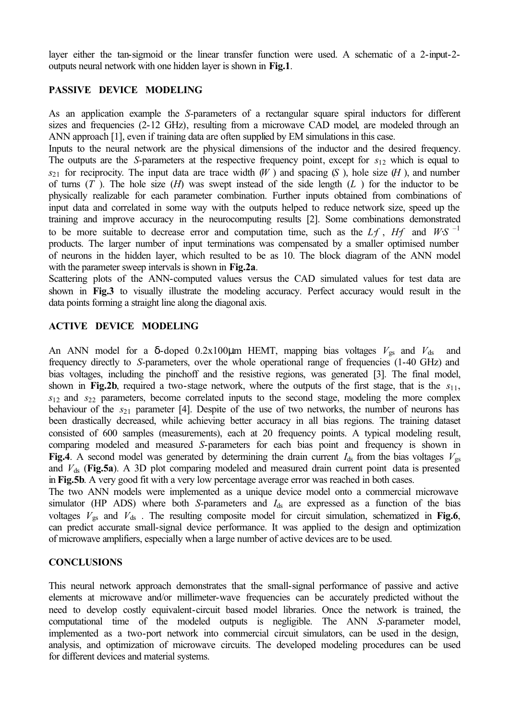layer either the tan-sigmoid or the linear transfer function were used. A schematic of a 2-input-2 outputs neural network with one hidden layer is shown in **Fig.1**.

### **PASSIVE DEVICE MODELING**

As an application example the *S-*parameters of a rectangular square spiral inductors for different sizes and frequencies (2-12 GHz), resulting from a microwave CAD model, are modeled through an ANN approach [1], even if training data are often supplied by EM simulations in this case.

Inputs to the neural network are the physical dimensions of the inductor and the desired frequency. The outputs are the *S-*parameters at the respective frequency point, except for *s*12 which is equal to  $s_{21}$  for reciprocity. The input data are trace width  $(W)$  and spacing  $(S)$ , hole size  $(H)$ , and number of turns (*T* ). The hole size (*H*) was swept instead of the side length (*L* ) for the inductor to be physically realizable for each parameter combination. Further inputs obtained from combinations of input data and correlated in some way with the outputs helped to reduce network size, speed up the training and improve accuracy in the neurocomputing results [2]. Some combinations demonstrated to be more suitable to decrease error and computation time, such as the *L*<sub>i</sub><sup>*f*</sup>, *H*<sup> $f$ </sup> and *W*⋅*S*<sup> $-1$ </sup> products. The larger number of input terminations was compensated by a smaller optimised number of neurons in the hidden layer, which resulted to be as 10. The block diagram of the ANN model with the parameter sweep intervals is shown in **Fig.2a**.

Scattering plots of the ANN-computed values versus the CAD simulated values for test data are shown in **Fig.3** to visually illustrate the modeling accuracy. Perfect accuracy would result in the data points forming a straight line along the diagonal axis.

### **ACTIVE DEVICE MODELING**

An ANN model for a  $\delta$ -doped 0.2x100 $\mu$ m HEMT, mapping bias voltages  $V_{gs}$  and  $V_{ds}$  and frequency directly to *S-*parameters, over the whole operational range of frequencies (1-40 GHz) and bias voltages, including the pinchoff and the resistive regions, was generated [3]. The final model, shown in **Fig.2b**, required a two-stage network, where the outputs of the first stage, that is the *s*11, *s*12 and *s*22 parameters, become correlated inputs to the second stage, modeling the more complex behaviour of the  $s_{21}$  parameter [4]. Despite of the use of two networks, the number of neurons has been drastically decreased, while achieving better accuracy in all bias regions. The training dataset consisted of 600 samples (measurements), each at 20 frequency points. A typical modeling result, comparing modeled and measured *S*-parameters for each bias point and frequency is shown in **Fig.4**. A second model was generated by determining the drain current  $I_{ds}$  from the bias voltages  $V_{gs}$ and  $V_{ds}$  (**Fig.5a**). A 3D plot comparing modeled and measured drain current point data is presented in **Fig.5b**. A very good fit with a very low percentage average error was reached in both cases.

The two ANN models were implemented as a unique device model onto a commercial microwave simulator (HP ADS) where both *S*-parameters and  $I_{ds}$  are expressed as a function of the bias voltages  $V_{gs}$  and  $V_{ds}$ . The resulting composite model for circuit simulation, schematized in **Fig.6**, can predict accurate small-signal device performance. It was applied to the design and optimization of microwave amplifiers, especially when a large number of active devices are to be used.

#### **CONCLUSIONS**

This neural network approach demonstrates that the small-signal performance of passive and active elements at microwave and/or millimeter-wave frequencies can be accurately predicted without the need to develop costly equivalent-circuit based model libraries. Once the network is trained, the computational time of the modeled outputs is negligible. The ANN *S-*parameter model, implemented as a two-port network into commercial circuit simulators, can be used in the design, analysis, and optimization of microwave circuits. The developed modeling procedures can be used for different devices and material systems.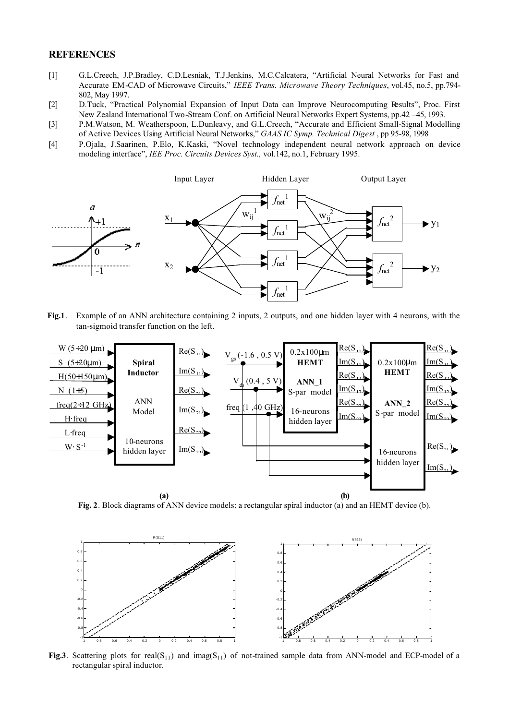#### **REFERENCES**

- [1] G.L.Creech, J.P.Bradley, C.D.Lesniak, T.J.Jenkins, M.C.Calcatera, "Artificial Neural Networks for Fast and Accurate EM-CAD of Microwave Circuits," *IEEE Trans. Microwave Theory Techniques*, vol.45, no.5, pp.794- 802, May 1997.
- [2] D.Tuck, "Practical Polynomial Expansion of Input Data can Improve Neurocomputing Results", Proc. First New Zealand International Two-Stream Conf. on Artificial Neural Networks Expert Systems, pp.42 –45, 1993.
- [3] P.M.Watson, M. Weatherspoon, L.Dunleavy, and G.L.Creech, "Accurate and Efficient Small-Signal Modelling of Active Devices Using Artificial Neural Networks," *GAAS IC Symp. Technical Digest* , pp 95-98, 1998
- [4] P.Ojala, J.Saarinen, P.Elo, K.Kaski, "Novel technology independent neural network approach on device modeling interface", *IEE Proc. Circuits Devices Syst.,* vol.142, no.1, February 1995.



**Fig.1**. Example of an ANN architecture containing 2 inputs, 2 outputs, and one hidden layer with 4 neurons, with the tan-sigmoid transfer function on the left.



**Fig. 2**. Block diagrams of ANN device models: a rectangular spiral inductor (a) and an HEMT device (b).



**Fig.3**. Scattering plots for real( $S_{11}$ ) and imag( $S_{11}$ ) of not-trained sample data from ANN-model and ECP-model of a rectangular spiral inductor.